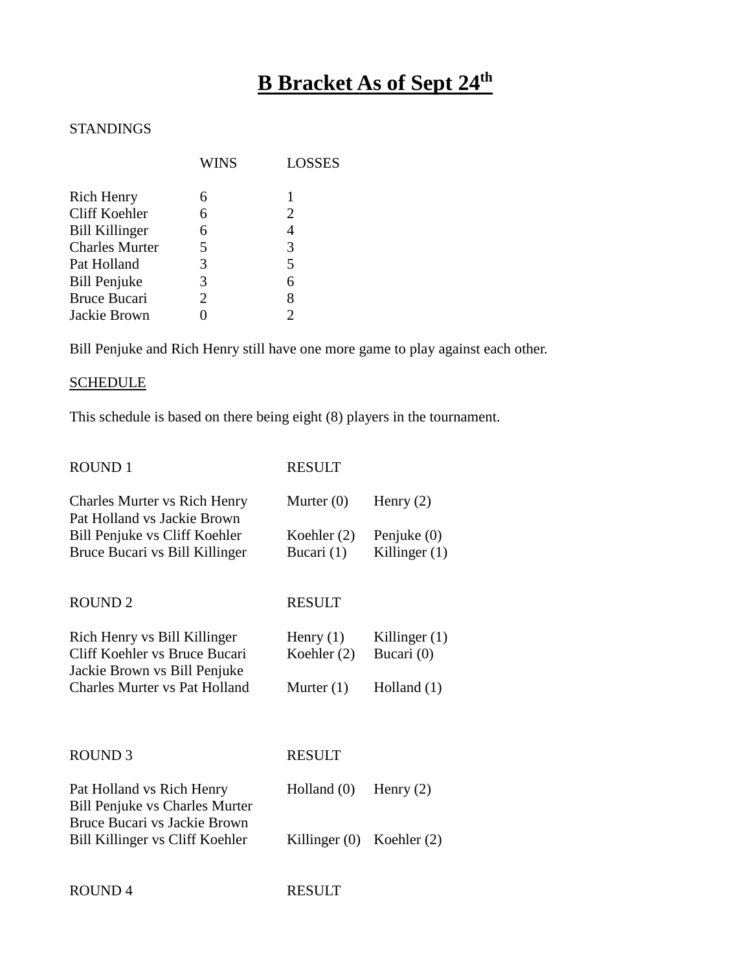# **B Bracket As of Sept 24th**

# STANDINGS

|                       | <b>WINS</b> | <b>LOSSES</b> |
|-----------------------|-------------|---------------|
| <b>Rich Henry</b>     |             |               |
| Cliff Koehler         | 6           | 2             |
| <b>Bill Killinger</b> | 6           |               |
| <b>Charles Murter</b> | 5           | 3             |
| Pat Holland           | 3           | 5             |
| <b>Bill Penjuke</b>   | 3           | 6             |
| <b>Bruce Bucari</b>   | 2           | 8             |
| Jackie Brown          |             |               |

Bill Penjuke and Rich Henry still have one more game to play against each other.

## **SCHEDULE**

This schedule is based on there being eight (8) players in the tournament.

| <b>ROUND1</b>                                                                                 | <b>RESULT</b>                |                                  |
|-----------------------------------------------------------------------------------------------|------------------------------|----------------------------------|
| <b>Charles Murter vs Rich Henry</b><br>Pat Holland vs Jackie Brown                            | Murter $(0)$                 | Henry $(2)$                      |
| Bill Penjuke vs Cliff Koehler<br>Bruce Bucari vs Bill Killinger                               | Koehler $(2)$<br>Bucari (1)  | Penjuke $(0)$<br>Killinger $(1)$ |
| <b>ROUND2</b>                                                                                 | <b>RESULT</b>                |                                  |
| Rich Henry vs Bill Killinger<br>Cliff Koehler vs Bruce Bucari<br>Jackie Brown vs Bill Penjuke | Henry $(1)$<br>Koehler $(2)$ | Killinger $(1)$<br>Bucari (0)    |
| Charles Murter vs Pat Holland                                                                 | Murter $(1)$                 | Holland $(1)$                    |
| ROUND <sub>3</sub>                                                                            | <b>RESULT</b>                |                                  |
| Pat Holland vs Rich Henry<br><b>Bill Penjuke vs Charles Murter</b>                            | Holland $(0)$                | Henry $(2)$                      |
| Bruce Bucari vs Jackie Brown<br>Bill Killinger vs Cliff Koehler                               | Killinger $(0)$              | Koehler $(2)$                    |

ROUND 4 RESULT